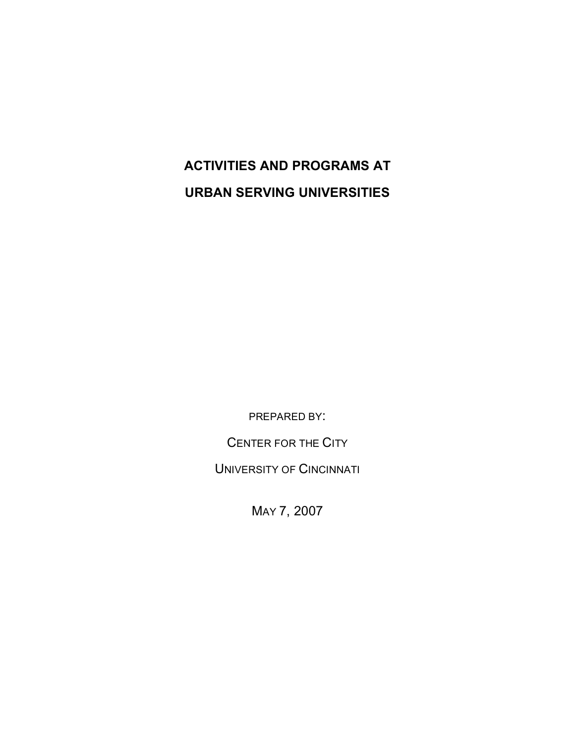# **ACTIVITIES AND PROGRAMS AT URBAN SERVING UNIVERSITIES**

PREPARED BY:

CENTER FOR THE CITY

UNIVERSITY OF CINCINNATI

MAY 7, 2007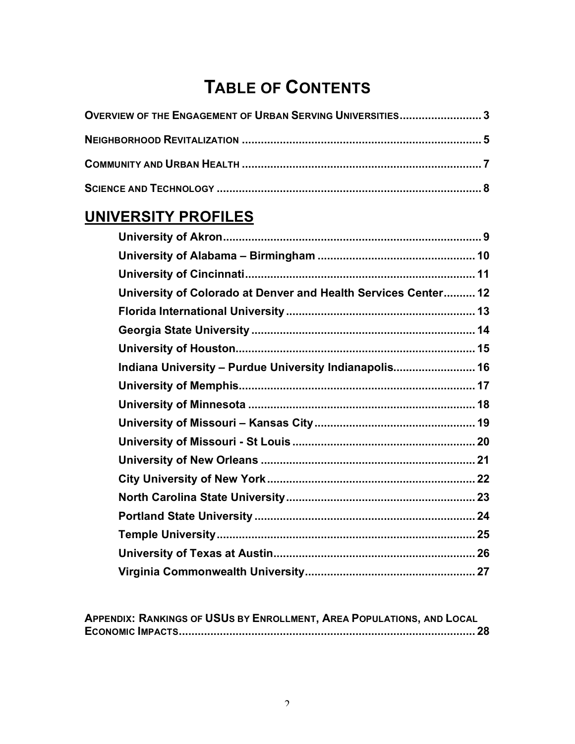# **TABLE OF CONTENTS**

| OVERVIEW OF THE ENGAGEMENT OF URBAN SERVING UNIVERSITIES3                                                                                                                                                                         |  |
|-----------------------------------------------------------------------------------------------------------------------------------------------------------------------------------------------------------------------------------|--|
|                                                                                                                                                                                                                                   |  |
|                                                                                                                                                                                                                                   |  |
|                                                                                                                                                                                                                                   |  |
| UNIVERSITY PROFILES                                                                                                                                                                                                               |  |
|                                                                                                                                                                                                                                   |  |
|                                                                                                                                                                                                                                   |  |
|                                                                                                                                                                                                                                   |  |
| University of Colorado at Denver and Health Services Center 12                                                                                                                                                                    |  |
|                                                                                                                                                                                                                                   |  |
|                                                                                                                                                                                                                                   |  |
|                                                                                                                                                                                                                                   |  |
| Indiana University - Purdue University Indianapolis 16                                                                                                                                                                            |  |
|                                                                                                                                                                                                                                   |  |
|                                                                                                                                                                                                                                   |  |
|                                                                                                                                                                                                                                   |  |
|                                                                                                                                                                                                                                   |  |
|                                                                                                                                                                                                                                   |  |
|                                                                                                                                                                                                                                   |  |
|                                                                                                                                                                                                                                   |  |
|                                                                                                                                                                                                                                   |  |
| $\mathbf{r}$ , and the contract of the contract of the contract of the contract of the contract of the contract of the contract of the contract of the contract of the contract of the contract of the contract of the contract o |  |

**APPENDIX: RANKINGS OF USUS BY ENROLLMENT, AREA POPULATIONS, AND LOCAL ECONOMIC IMPACTS.............................................................................................. 28**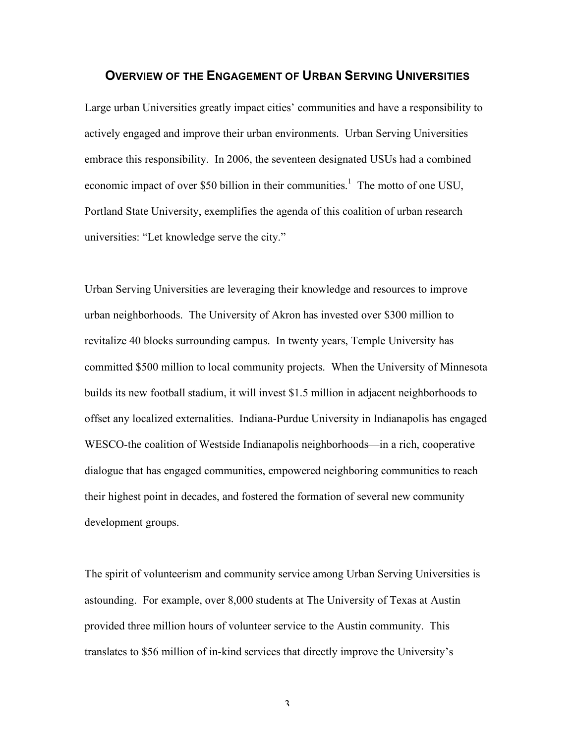#### **OVERVIEW OF THE ENGAGEMENT OF URBAN SERVING UNIVERSITIES**

Large urban Universities greatly impact cities' communities and have a responsibility to actively engaged and improve their urban environments. Urban Serving Universities embrace this responsibility. In 2006, the seventeen designated USUs had a combined economic impact of over \$50 billion in their communities.<sup>1</sup> The motto of one USU, Portland State University, exemplifies the agenda of this coalition of urban research universities: "Let knowledge serve the city."

Urban Serving Universities are leveraging their knowledge and resources to improve urban neighborhoods. The University of Akron has invested over \$300 million to revitalize 40 blocks surrounding campus. In twenty years, Temple University has committed \$500 million to local community projects. When the University of Minnesota builds its new football stadium, it will invest \$1.5 million in adjacent neighborhoods to offset any localized externalities. Indiana-Purdue University in Indianapolis has engaged WESCO-the coalition of Westside Indianapolis neighborhoods—in a rich, cooperative dialogue that has engaged communities, empowered neighboring communities to reach their highest point in decades, and fostered the formation of several new community development groups.

The spirit of volunteerism and community service among Urban Serving Universities is astounding. For example, over 8,000 students at The University of Texas at Austin provided three million hours of volunteer service to the Austin community. This translates to \$56 million of in-kind services that directly improve the University's

3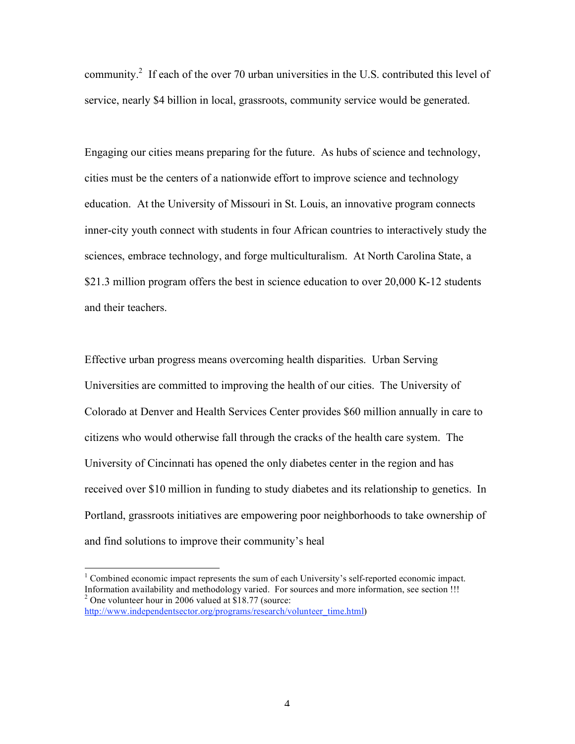community.<sup>2</sup> If each of the over 70 urban universities in the U.S. contributed this level of service, nearly \$4 billion in local, grassroots, community service would be generated.

Engaging our cities means preparing for the future. As hubs of science and technology, cities must be the centers of a nationwide effort to improve science and technology education. At the University of Missouri in St. Louis, an innovative program connects inner-city youth connect with students in four African countries to interactively study the sciences, embrace technology, and forge multiculturalism. At North Carolina State, a \$21.3 million program offers the best in science education to over 20,000 K-12 students and their teachers.

Effective urban progress means overcoming health disparities. Urban Serving Universities are committed to improving the health of our cities. The University of Colorado at Denver and Health Services Center provides \$60 million annually in care to citizens who would otherwise fall through the cracks of the health care system. The University of Cincinnati has opened the only diabetes center in the region and has received over \$10 million in funding to study diabetes and its relationship to genetics. In Portland, grassroots initiatives are empowering poor neighborhoods to take ownership of and find solutions to improve their community's heal

 $\frac{1}{1}$ <sup>1</sup> Combined economic impact represents the sum of each University's self-reported economic impact. Information availability and methodology varied. For sources and more information, see section !!!  $2$  One volunteer hour in 2006 valued at \$18.77 (source: http://www.independentsector.org/programs/research/volunteer\_time.html)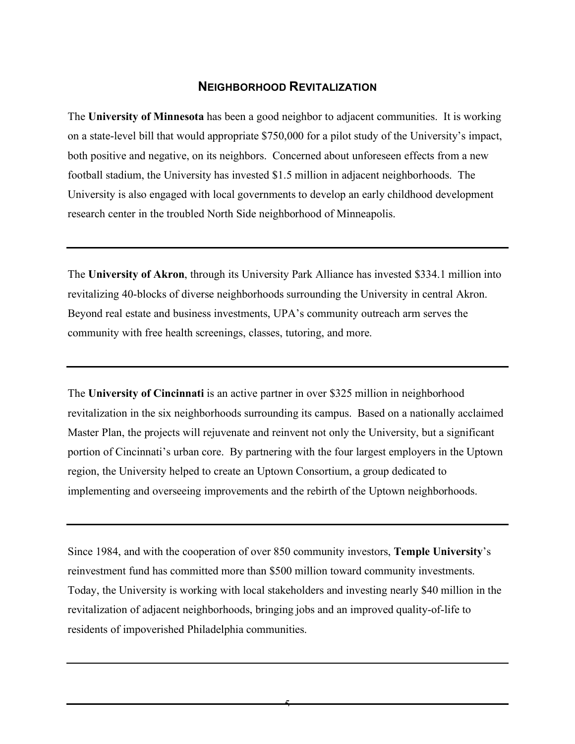### **NEIGHBORHOOD REVITALIZATION**

The **University of Minnesota** has been a good neighbor to adjacent communities. It is working on a state-level bill that would appropriate \$750,000 for a pilot study of the University's impact, both positive and negative, on its neighbors. Concerned about unforeseen effects from a new football stadium, the University has invested \$1.5 million in adjacent neighborhoods. The University is also engaged with local governments to develop an early childhood development research center in the troubled North Side neighborhood of Minneapolis.

The **University of Akron**, through its University Park Alliance has invested \$334.1 million into revitalizing 40-blocks of diverse neighborhoods surrounding the University in central Akron. Beyond real estate and business investments, UPA's community outreach arm serves the community with free health screenings, classes, tutoring, and more.

The **University of Cincinnati** is an active partner in over \$325 million in neighborhood revitalization in the six neighborhoods surrounding its campus. Based on a nationally acclaimed Master Plan, the projects will rejuvenate and reinvent not only the University, but a significant portion of Cincinnati's urban core. By partnering with the four largest employers in the Uptown region, the University helped to create an Uptown Consortium, a group dedicated to implementing and overseeing improvements and the rebirth of the Uptown neighborhoods.

Since 1984, and with the cooperation of over 850 community investors, **Temple University**'s reinvestment fund has committed more than \$500 million toward community investments. Today, the University is working with local stakeholders and investing nearly \$40 million in the revitalization of adjacent neighborhoods, bringing jobs and an improved quality-of-life to residents of impoverished Philadelphia communities.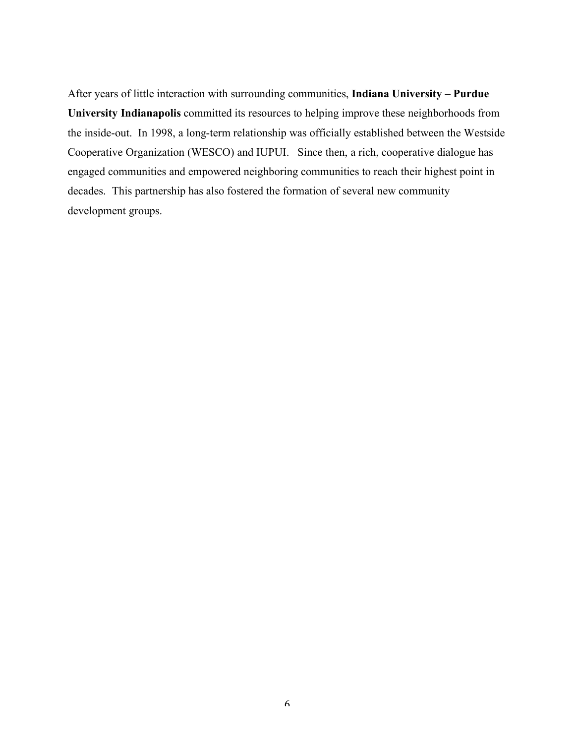After years of little interaction with surrounding communities, **Indiana University – Purdue University Indianapolis** committed its resources to helping improve these neighborhoods from the inside-out. In 1998, a long-term relationship was officially established between the Westside Cooperative Organization (WESCO) and IUPUI. Since then, a rich, cooperative dialogue has engaged communities and empowered neighboring communities to reach their highest point in decades. This partnership has also fostered the formation of several new community development groups.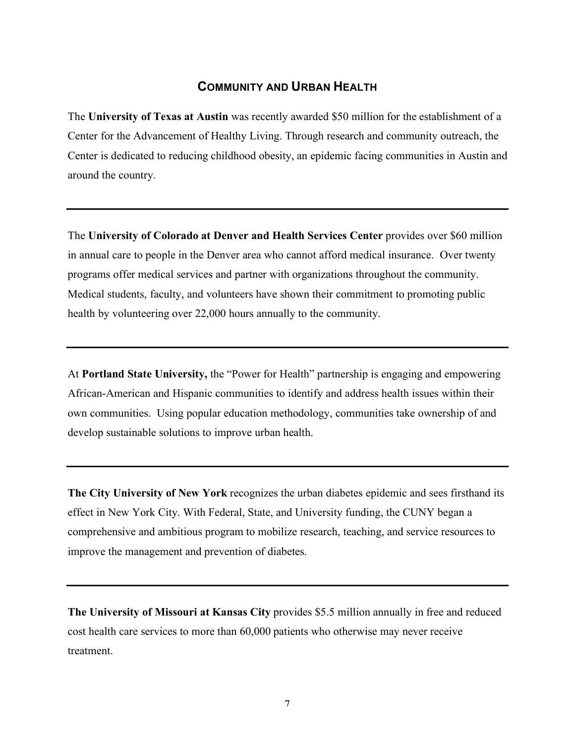### **COMMUNITY AND URBAN HEALTH**

The **University of Texas at Austin** was recently awarded \$50 million for the establishment of a Center for the Advancement of Healthy Living. Through research and community outreach, the Center is dedicated to reducing childhood obesity, an epidemic facing communities in Austin and around the country.

The **University of Colorado at Denver and Health Services Center** provides over \$60 million in annual care to people in the Denver area who cannot afford medical insurance. Over twenty programs offer medical services and partner with organizations throughout the community. Medical students, faculty, and volunteers have shown their commitment to promoting public health by volunteering over 22,000 hours annually to the community.

At **Portland State University,** the "Power for Health" partnership is engaging and empowering African-American and Hispanic communities to identify and address health issues within their own communities. Using popular education methodology, communities take ownership of and develop sustainable solutions to improve urban health.

**The City University of New York** recognizes the urban diabetes epidemic and sees firsthand its effect in New York City. With Federal, State, and University funding, the CUNY began a comprehensive and ambitious program to mobilize research, teaching, and service resources to improve the management and prevention of diabetes.

**The University of Missouri at Kansas City** provides \$5.5 million annually in free and reduced cost health care services to more than 60,000 patients who otherwise may never receive treatment.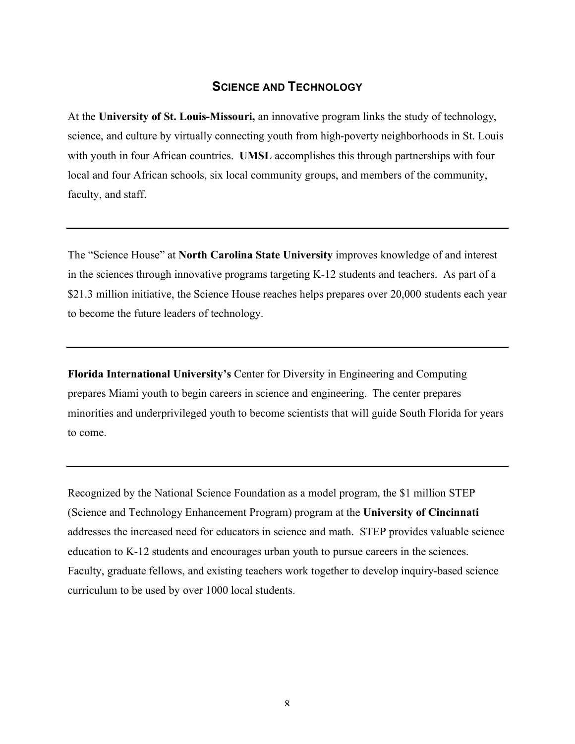### **SCIENCE AND TECHNOLOGY**

At the **University of St. Louis-Missouri,** an innovative program links the study of technology, science, and culture by virtually connecting youth from high-poverty neighborhoods in St. Louis with youth in four African countries. **UMSL** accomplishes this through partnerships with four local and four African schools, six local community groups, and members of the community, faculty, and staff.

The "Science House" at **North Carolina State University** improves knowledge of and interest in the sciences through innovative programs targeting K-12 students and teachers. As part of a \$21.3 million initiative, the Science House reaches helps prepares over 20,000 students each year to become the future leaders of technology.

**Florida International University's** Center for Diversity in Engineering and Computing prepares Miami youth to begin careers in science and engineering. The center prepares minorities and underprivileged youth to become scientists that will guide South Florida for years to come.

Recognized by the National Science Foundation as a model program, the \$1 million STEP (Science and Technology Enhancement Program) program at the **University of Cincinnati** addresses the increased need for educators in science and math. STEP provides valuable science education to K-12 students and encourages urban youth to pursue careers in the sciences. Faculty, graduate fellows, and existing teachers work together to develop inquiry-based science curriculum to be used by over 1000 local students.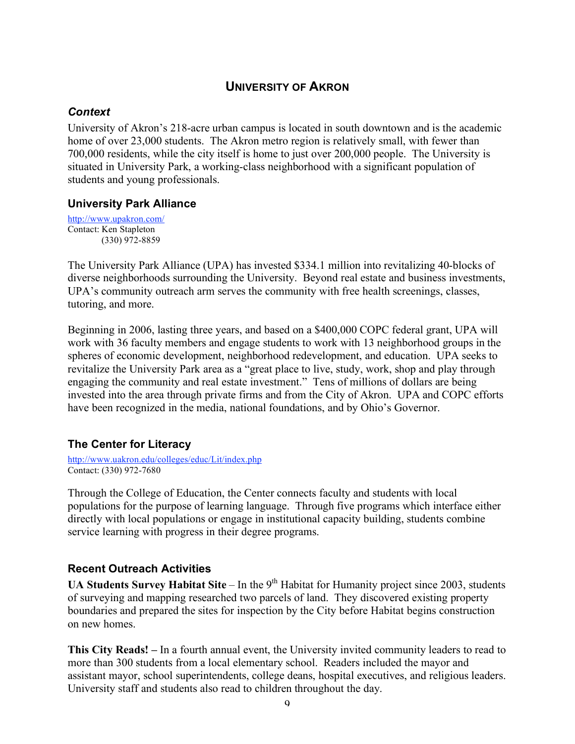# **UNIVERSITY OF AKRON**

### *Context*

University of Akron's 218-acre urban campus is located in south downtown and is the academic home of over 23,000 students. The Akron metro region is relatively small, with fewer than 700,000 residents, while the city itself is home to just over 200,000 people. The University is situated in University Park, a working-class neighborhood with a significant population of students and young professionals.

### **University Park Alliance**

http://www.upakron.com/ Contact: Ken Stapleton (330) 972-8859

The University Park Alliance (UPA) has invested \$334.1 million into revitalizing 40-blocks of diverse neighborhoods surrounding the University. Beyond real estate and business investments, UPA's community outreach arm serves the community with free health screenings, classes, tutoring, and more.

Beginning in 2006, lasting three years, and based on a \$400,000 COPC federal grant, UPA will work with 36 faculty members and engage students to work with 13 neighborhood groups in the spheres of economic development, neighborhood redevelopment, and education. UPA seeks to revitalize the University Park area as a "great place to live, study, work, shop and play through engaging the community and real estate investment." Tens of millions of dollars are being invested into the area through private firms and from the City of Akron. UPA and COPC efforts have been recognized in the media, national foundations, and by Ohio's Governor.

# **The Center for Literacy**

http://www.uakron.edu/colleges/educ/Lit/index.php Contact: (330) 972-7680

Through the College of Education, the Center connects faculty and students with local populations for the purpose of learning language. Through five programs which interface either directly with local populations or engage in institutional capacity building, students combine service learning with progress in their degree programs.

# **Recent Outreach Activities**

**UA Students Survey Habitat Site** – In the 9<sup>th</sup> Habitat for Humanity project since 2003, students of surveying and mapping researched two parcels of land. They discovered existing property boundaries and prepared the sites for inspection by the City before Habitat begins construction on new homes.

**This City Reads! –** In a fourth annual event, the University invited community leaders to read to more than 300 students from a local elementary school. Readers included the mayor and assistant mayor, school superintendents, college deans, hospital executives, and religious leaders. University staff and students also read to children throughout the day.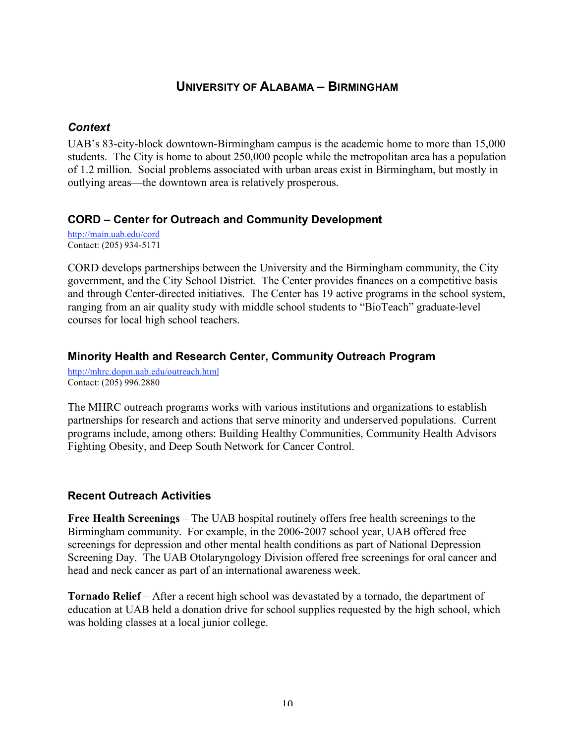# **UNIVERSITY OF ALABAMA – BIRMINGHAM**

### *Context*

UAB's 83-city-block downtown-Birmingham campus is the academic home to more than 15,000 students. The City is home to about 250,000 people while the metropolitan area has a population of 1.2 million. Social problems associated with urban areas exist in Birmingham, but mostly in outlying areas—the downtown area is relatively prosperous.

### **CORD – Center for Outreach and Community Development**

http://main.uab.edu/cord Contact: (205) 934-5171

CORD develops partnerships between the University and the Birmingham community, the City government, and the City School District. The Center provides finances on a competitive basis and through Center-directed initiatives. The Center has 19 active programs in the school system, ranging from an air quality study with middle school students to "BioTeach" graduate-level courses for local high school teachers.

### **Minority Health and Research Center, Community Outreach Program**

http://mhrc.dopm.uab.edu/outreach.html Contact: (205) 996.2880

The MHRC outreach programs works with various institutions and organizations to establish partnerships for research and actions that serve minority and underserved populations. Current programs include, among others: Building Healthy Communities, Community Health Advisors Fighting Obesity, and Deep South Network for Cancer Control.

### **Recent Outreach Activities**

**Free Health Screenings** – The UAB hospital routinely offers free health screenings to the Birmingham community. For example, in the 2006-2007 school year, UAB offered free screenings for depression and other mental health conditions as part of National Depression Screening Day. The UAB Otolaryngology Division offered free screenings for oral cancer and head and neck cancer as part of an international awareness week.

**Tornado Relief** – After a recent high school was devastated by a tornado, the department of education at UAB held a donation drive for school supplies requested by the high school, which was holding classes at a local junior college.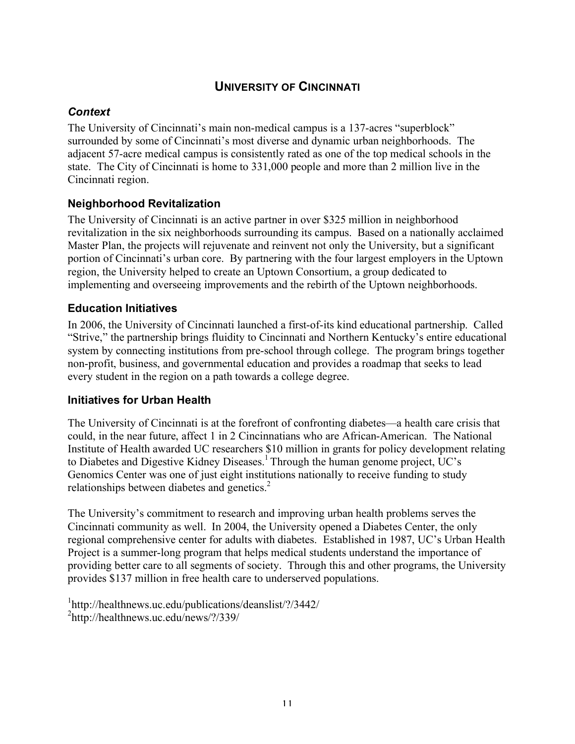# **UNIVERSITY OF CINCINNATI**

# *Context*

The University of Cincinnati's main non-medical campus is a 137-acres "superblock" surrounded by some of Cincinnati's most diverse and dynamic urban neighborhoods. The adjacent 57-acre medical campus is consistently rated as one of the top medical schools in the state. The City of Cincinnati is home to 331,000 people and more than 2 million live in the Cincinnati region.

# **Neighborhood Revitalization**

The University of Cincinnati is an active partner in over \$325 million in neighborhood revitalization in the six neighborhoods surrounding its campus. Based on a nationally acclaimed Master Plan, the projects will rejuvenate and reinvent not only the University, but a significant portion of Cincinnati's urban core. By partnering with the four largest employers in the Uptown region, the University helped to create an Uptown Consortium, a group dedicated to implementing and overseeing improvements and the rebirth of the Uptown neighborhoods.

# **Education Initiatives**

In 2006, the University of Cincinnati launched a first-of-its kind educational partnership. Called "Strive," the partnership brings fluidity to Cincinnati and Northern Kentucky's entire educational system by connecting institutions from pre-school through college. The program brings together non-profit, business, and governmental education and provides a roadmap that seeks to lead every student in the region on a path towards a college degree.

### **Initiatives for Urban Health**

The University of Cincinnati is at the forefront of confronting diabetes—a health care crisis that could, in the near future, affect 1 in 2 Cincinnatians who are African-American. The National Institute of Health awarded UC researchers \$10 million in grants for policy development relating to Diabetes and Digestive Kidney Diseases.<sup>1</sup> Through the human genome project, UC's Genomics Center was one of just eight institutions nationally to receive funding to study relationships between diabetes and genetics.<sup>2</sup>

The University's commitment to research and improving urban health problems serves the Cincinnati community as well. In 2004, the University opened a Diabetes Center, the only regional comprehensive center for adults with diabetes. Established in 1987, UC's Urban Health Project is a summer-long program that helps medical students understand the importance of providing better care to all segments of society. Through this and other programs, the University provides \$137 million in free health care to underserved populations.

1 http://healthnews.uc.edu/publications/deanslist/?/3442/ <sup>2</sup>http://healthnews.uc.edu/news/?/339/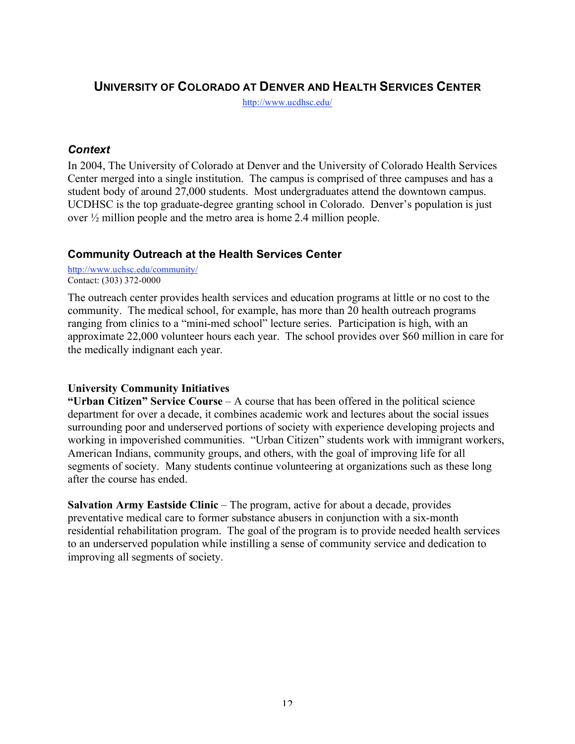# **UNIVERSITY OF COLORADO AT DENVER AND HEALTH SERVICES CENTER**

http://www.ucdhsc.edu/

### *Context*

In 2004, The University of Colorado at Denver and the University of Colorado Health Services Center merged into a single institution. The campus is comprised of three campuses and has a student body of around 27,000 students. Most undergraduates attend the downtown campus. UCDHSC is the top graduate-degree granting school in Colorado. Denver's population is just over ½ million people and the metro area is home 2.4 million people.

# **Community Outreach at the Health Services Center**

http://www.uchsc.edu/community/ Contact: (303) 372-0000

The outreach center provides health services and education programs at little or no cost to the community. The medical school, for example, has more than 20 health outreach programs ranging from clinics to a "mini-med school" lecture series. Participation is high, with an approximate 22,000 volunteer hours each year. The school provides over \$60 million in care for the medically indignant each year.

### **University Community Initiatives**

**"Urban Citizen" Service Course** – A course that has been offered in the political science department for over a decade, it combines academic work and lectures about the social issues surrounding poor and underserved portions of society with experience developing projects and working in impoverished communities. "Urban Citizen" students work with immigrant workers, American Indians, community groups, and others, with the goal of improving life for all segments of society. Many students continue volunteering at organizations such as these long after the course has ended.

**Salvation Army Eastside Clinic** – The program, active for about a decade, provides preventative medical care to former substance abusers in conjunction with a six-month residential rehabilitation program. The goal of the program is to provide needed health services to an underserved population while instilling a sense of community service and dedication to improving all segments of society.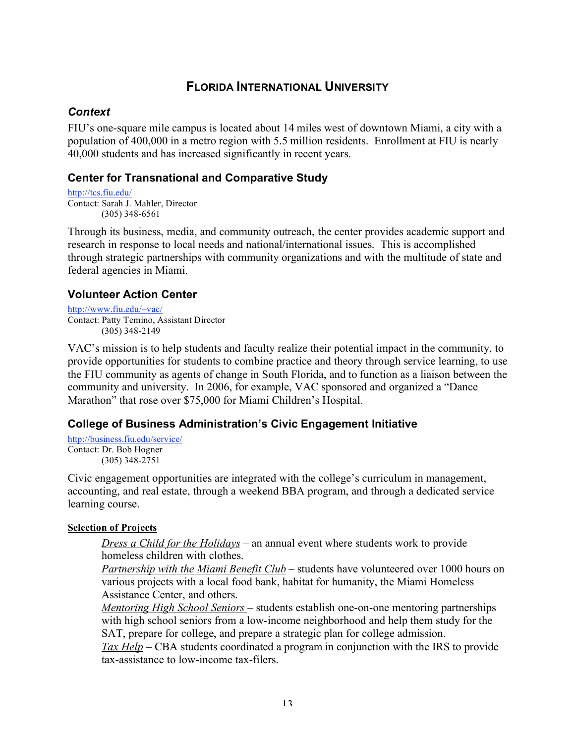# **FLORIDA INTERNATIONAL UNIVERSITY**

### *Context*

FIU's one-square mile campus is located about 14 miles west of downtown Miami, a city with a population of 400,000 in a metro region with 5.5 million residents. Enrollment at FIU is nearly 40,000 students and has increased significantly in recent years.

# **Center for Transnational and Comparative Study**

http://tcs.fiu.edu/ Contact: Sarah J. Mahler, Director (305) 348-6561

Through its business, media, and community outreach, the center provides academic support and research in response to local needs and national/international issues. This is accomplished through strategic partnerships with community organizations and with the multitude of state and federal agencies in Miami.

### **Volunteer Action Center**

http://www.fiu.edu/~vac/ Contact: Patty Temino, Assistant Director (305) 348-2149

VAC's mission is to help students and faculty realize their potential impact in the community, to provide opportunities for students to combine practice and theory through service learning, to use the FIU community as agents of change in South Florida, and to function as a liaison between the community and university. In 2006, for example, VAC sponsored and organized a "Dance Marathon" that rose over \$75,000 for Miami Children's Hospital.

# **College of Business Administration's Civic Engagement Initiative**

http://business.fiu.edu/service/ Contact: Dr. Bob Hogner (305) 348-2751

Civic engagement opportunities are integrated with the college's curriculum in management, accounting, and real estate, through a weekend BBA program, and through a dedicated service learning course.

### **Selection of Projects**

*Dress a Child for the Holidays* – an annual event where students work to provide homeless children with clothes.

*Partnership with the Miami Benefit Club* – students have volunteered over 1000 hours on various projects with a local food bank, habitat for humanity, the Miami Homeless Assistance Center, and others.

*Mentoring High School Seniors* – students establish one-on-one mentoring partnerships with high school seniors from a low-income neighborhood and help them study for the SAT, prepare for college, and prepare a strategic plan for college admission.

*Tax Help* – CBA students coordinated a program in conjunction with the IRS to provide tax-assistance to low-income tax-filers.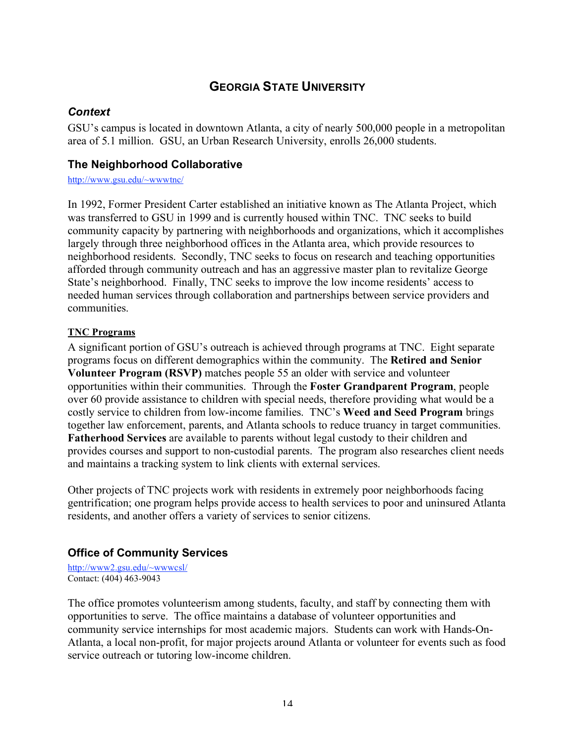# **GEORGIA STATE UNIVERSITY**

### *Context*

GSU's campus is located in downtown Atlanta, a city of nearly 500,000 people in a metropolitan area of 5.1 million. GSU, an Urban Research University, enrolls 26,000 students.

### **The Neighborhood Collaborative**

http://www.gsu.edu/~wwwtnc/

In 1992, Former President Carter established an initiative known as The Atlanta Project, which was transferred to GSU in 1999 and is currently housed within TNC. TNC seeks to build community capacity by partnering with neighborhoods and organizations, which it accomplishes largely through three neighborhood offices in the Atlanta area, which provide resources to neighborhood residents. Secondly, TNC seeks to focus on research and teaching opportunities afforded through community outreach and has an aggressive master plan to revitalize George State's neighborhood. Finally, TNC seeks to improve the low income residents' access to needed human services through collaboration and partnerships between service providers and communities.

#### **TNC Programs**

A significant portion of GSU's outreach is achieved through programs at TNC. Eight separate programs focus on different demographics within the community. The **Retired and Senior Volunteer Program (RSVP)** matches people 55 an older with service and volunteer opportunities within their communities. Through the **Foster Grandparent Program**, people over 60 provide assistance to children with special needs, therefore providing what would be a costly service to children from low-income families. TNC's **Weed and Seed Program** brings together law enforcement, parents, and Atlanta schools to reduce truancy in target communities. **Fatherhood Services** are available to parents without legal custody to their children and provides courses and support to non-custodial parents. The program also researches client needs and maintains a tracking system to link clients with external services.

Other projects of TNC projects work with residents in extremely poor neighborhoods facing gentrification; one program helps provide access to health services to poor and uninsured Atlanta residents, and another offers a variety of services to senior citizens.

# **Office of Community Services**

http://www2.gsu.edu/~wwwcsl/ Contact: (404) 463-9043

The office promotes volunteerism among students, faculty, and staff by connecting them with opportunities to serve. The office maintains a database of volunteer opportunities and community service internships for most academic majors. Students can work with Hands-On-Atlanta, a local non-profit, for major projects around Atlanta or volunteer for events such as food service outreach or tutoring low-income children.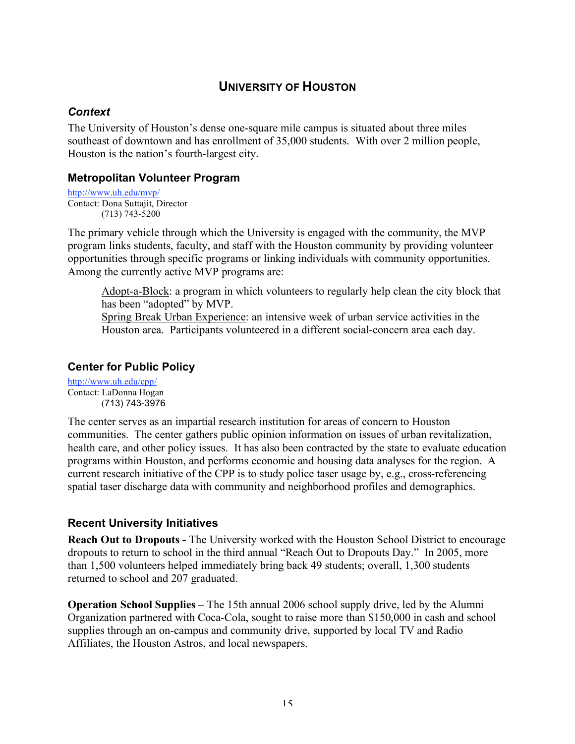# **UNIVERSITY OF HOUSTON**

### *Context*

The University of Houston's dense one-square mile campus is situated about three miles southeast of downtown and has enrollment of 35,000 students. With over 2 million people, Houston is the nation's fourth-largest city.

### **Metropolitan Volunteer Program**

```
http://www.uh.edu/mvp/
Contact: Dona Suttajit, Director
        (713) 743-5200
```
The primary vehicle through which the University is engaged with the community, the MVP program links students, faculty, and staff with the Houston community by providing volunteer opportunities through specific programs or linking individuals with community opportunities. Among the currently active MVP programs are:

Adopt-a-Block: a program in which volunteers to regularly help clean the city block that has been "adopted" by MVP. Spring Break Urban Experience: an intensive week of urban service activities in the Houston area. Participants volunteered in a different social-concern area each day.

### **Center for Public Policy**

http://www.uh.edu/cpp/ Contact: LaDonna Hogan (713) 743-3976

The center serves as an impartial research institution for areas of concern to Houston communities. The center gathers public opinion information on issues of urban revitalization, health care, and other policy issues. It has also been contracted by the state to evaluate education programs within Houston, and performs economic and housing data analyses for the region. A current research initiative of the CPP is to study police taser usage by, e.g., cross-referencing spatial taser discharge data with community and neighborhood profiles and demographics.

# **Recent University Initiatives**

**Reach Out to Dropouts -** The University worked with the Houston School District to encourage dropouts to return to school in the third annual "Reach Out to Dropouts Day." In 2005, more than 1,500 volunteers helped immediately bring back 49 students; overall, 1,300 students returned to school and 207 graduated.

**Operation School Supplies** – The 15th annual 2006 school supply drive, led by the Alumni Organization partnered with Coca-Cola, sought to raise more than \$150,000 in cash and school supplies through an on-campus and community drive, supported by local TV and Radio Affiliates, the Houston Astros, and local newspapers.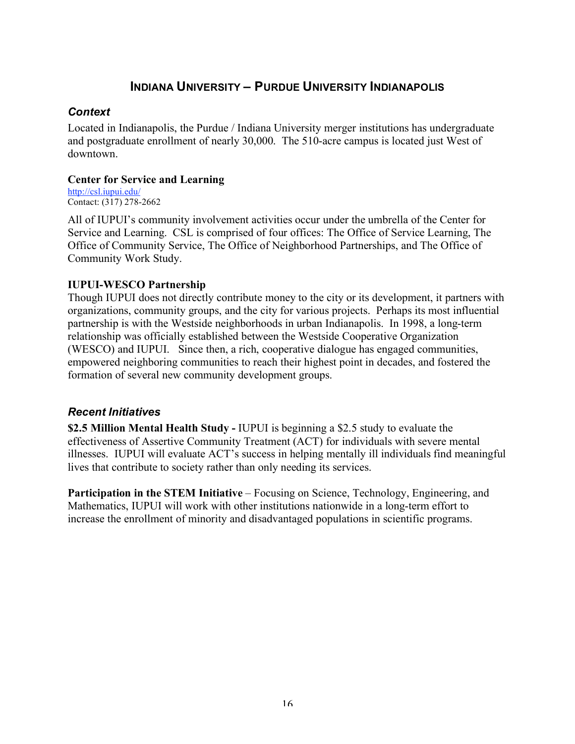# **INDIANA UNIVERSITY – PURDUE UNIVERSITY INDIANAPOLIS**

### *Context*

Located in Indianapolis, the Purdue / Indiana University merger institutions has undergraduate and postgraduate enrollment of nearly 30,000. The 510-acre campus is located just West of downtown.

### **Center for Service and Learning**

http://csl.iupui.edu/ Contact: (317) 278-2662

All of IUPUI's community involvement activities occur under the umbrella of the Center for Service and Learning. CSL is comprised of four offices: The Office of Service Learning, The Office of Community Service, The Office of Neighborhood Partnerships, and The Office of Community Work Study.

### **IUPUI-WESCO Partnership**

Though IUPUI does not directly contribute money to the city or its development, it partners with organizations, community groups, and the city for various projects. Perhaps its most influential partnership is with the Westside neighborhoods in urban Indianapolis. In 1998, a long-term relationship was officially established between the Westside Cooperative Organization (WESCO) and IUPUI. Since then, a rich, cooperative dialogue has engaged communities, empowered neighboring communities to reach their highest point in decades, and fostered the formation of several new community development groups.

### *Recent Initiatives*

**\$2.5 Million Mental Health Study -** IUPUI is beginning a \$2.5 study to evaluate the effectiveness of Assertive Community Treatment (ACT) for individuals with severe mental illnesses. IUPUI will evaluate ACT's success in helping mentally ill individuals find meaningful lives that contribute to society rather than only needing its services.

**Participation in the STEM Initiative** – Focusing on Science, Technology, Engineering, and Mathematics, IUPUI will work with other institutions nationwide in a long-term effort to increase the enrollment of minority and disadvantaged populations in scientific programs.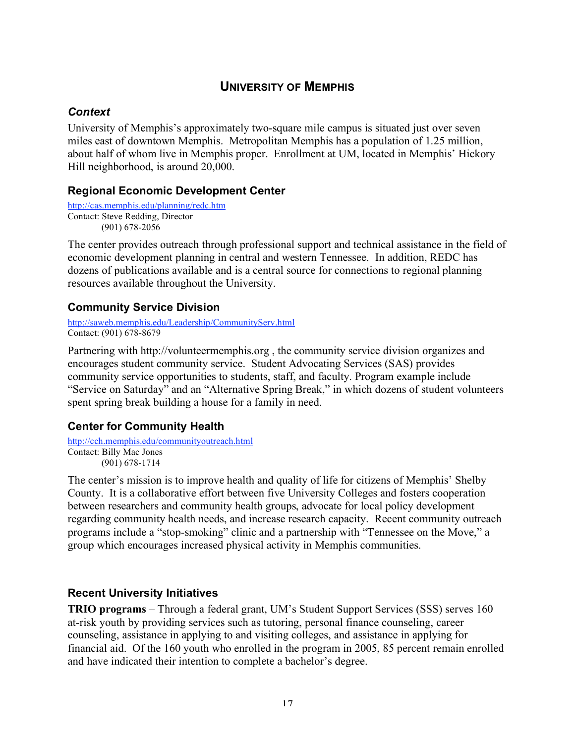# **UNIVERSITY OF MEMPHIS**

### *Context*

University of Memphis's approximately two-square mile campus is situated just over seven miles east of downtown Memphis. Metropolitan Memphis has a population of 1.25 million, about half of whom live in Memphis proper. Enrollment at UM, located in Memphis' Hickory Hill neighborhood, is around 20,000.

### **Regional Economic Development Center**

```
http://cas.memphis.edu/planning/redc.htm
Contact: Steve Redding, Director
        (901) 678-2056
```
The center provides outreach through professional support and technical assistance in the field of economic development planning in central and western Tennessee. In addition, REDC has dozens of publications available and is a central source for connections to regional planning resources available throughout the University.

### **Community Service Division**

http://saweb.memphis.edu/Leadership/CommunityServ.html Contact: (901) 678-8679

Partnering with http://volunteermemphis.org , the community service division organizes and encourages student community service. Student Advocating Services (SAS) provides community service opportunities to students, staff, and faculty. Program example include "Service on Saturday" and an "Alternative Spring Break," in which dozens of student volunteers spent spring break building a house for a family in need.

# **Center for Community Health**

http://cch.memphis.edu/communityoutreach.html Contact: Billy Mac Jones (901) 678-1714

The center's mission is to improve health and quality of life for citizens of Memphis' Shelby County. It is a collaborative effort between five University Colleges and fosters cooperation between researchers and community health groups, advocate for local policy development regarding community health needs, and increase research capacity. Recent community outreach programs include a "stop-smoking" clinic and a partnership with "Tennessee on the Move," a group which encourages increased physical activity in Memphis communities.

# **Recent University Initiatives**

**TRIO programs** – Through a federal grant, UM's Student Support Services (SSS) serves 160 at-risk youth by providing services such as tutoring, personal finance counseling, career counseling, assistance in applying to and visiting colleges, and assistance in applying for financial aid. Of the 160 youth who enrolled in the program in 2005, 85 percent remain enrolled and have indicated their intention to complete a bachelor's degree.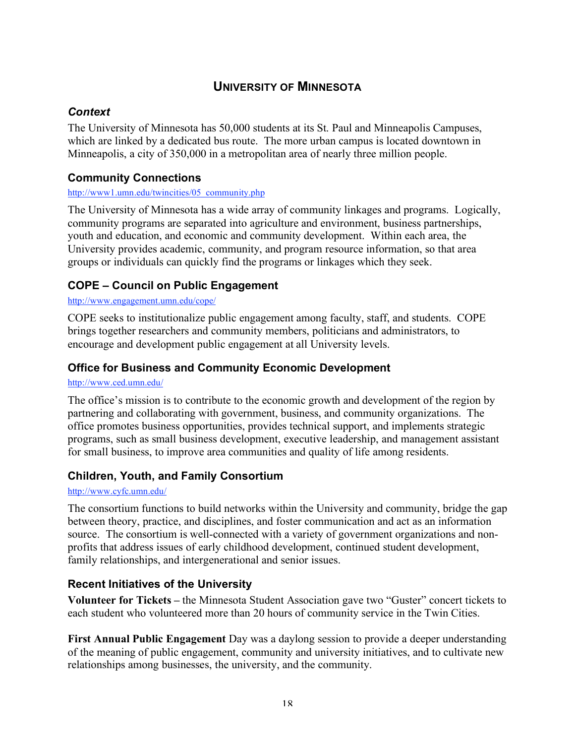# **UNIVERSITY OF MINNESOTA**

### *Context*

The University of Minnesota has 50,000 students at its St. Paul and Minneapolis Campuses, which are linked by a dedicated bus route. The more urban campus is located downtown in Minneapolis, a city of 350,000 in a metropolitan area of nearly three million people.

# **Community Connections**

#### http://www1.umn.edu/twincities/05\_community.php

The University of Minnesota has a wide array of community linkages and programs. Logically, community programs are separated into agriculture and environment, business partnerships, youth and education, and economic and community development. Within each area, the University provides academic, community, and program resource information, so that area groups or individuals can quickly find the programs or linkages which they seek.

# **COPE – Council on Public Engagement**

#### http://www.engagement.umn.edu/cope/

COPE seeks to institutionalize public engagement among faculty, staff, and students. COPE brings together researchers and community members, politicians and administrators, to encourage and development public engagement at all University levels.

### **Office for Business and Community Economic Development**

#### http://www.ced.umn.edu/

The office's mission is to contribute to the economic growth and development of the region by partnering and collaborating with government, business, and community organizations. The office promotes business opportunities, provides technical support, and implements strategic programs, such as small business development, executive leadership, and management assistant for small business, to improve area communities and quality of life among residents.

### **Children, Youth, and Family Consortium**

#### http://www.cyfc.umn.edu/

The consortium functions to build networks within the University and community, bridge the gap between theory, practice, and disciplines, and foster communication and act as an information source. The consortium is well-connected with a variety of government organizations and nonprofits that address issues of early childhood development, continued student development, family relationships, and intergenerational and senior issues.

# **Recent Initiatives of the University**

**Volunteer for Tickets –** the Minnesota Student Association gave two "Guster" concert tickets to each student who volunteered more than 20 hours of community service in the Twin Cities.

**First Annual Public Engagement** Day was a daylong session to provide a deeper understanding of the meaning of public engagement, community and university initiatives, and to cultivate new relationships among businesses, the university, and the community.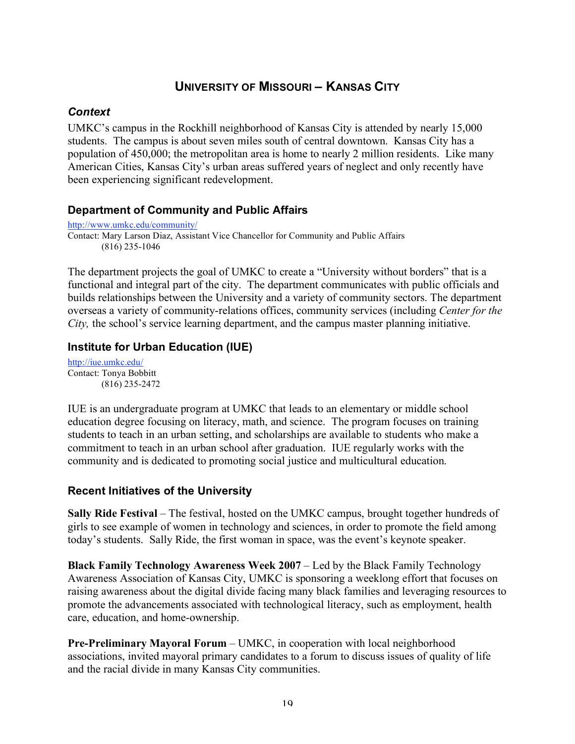# **UNIVERSITY OF MISSOURI – KANSAS CITY**

### *Context*

UMKC's campus in the Rockhill neighborhood of Kansas City is attended by nearly 15,000 students. The campus is about seven miles south of central downtown. Kansas City has a population of 450,000; the metropolitan area is home to nearly 2 million residents. Like many American Cities, Kansas City's urban areas suffered years of neglect and only recently have been experiencing significant redevelopment.

### **Department of Community and Public Affairs**

http://www.umkc.edu/community/ Contact: Mary Larson Diaz, Assistant Vice Chancellor for Community and Public Affairs (816) 235-1046

The department projects the goal of UMKC to create a "University without borders" that is a functional and integral part of the city. The department communicates with public officials and builds relationships between the University and a variety of community sectors. The department overseas a variety of community-relations offices, community services (including *Center for the City,* the school's service learning department, and the campus master planning initiative.

# **Institute for Urban Education (IUE)**

http://iue.umkc.edu/ Contact: Tonya Bobbitt (816) 235-2472

IUE is an undergraduate program at UMKC that leads to an elementary or middle school education degree focusing on literacy, math, and science. The program focuses on training students to teach in an urban setting, and scholarships are available to students who make a commitment to teach in an urban school after graduation. IUE regularly works with the community and is dedicated to promoting social justice and multicultural education.

# **Recent Initiatives of the University**

Sally Ride Festival – The festival, hosted on the UMKC campus, brought together hundreds of girls to see example of women in technology and sciences, in order to promote the field among today's students. Sally Ride, the first woman in space, was the event's keynote speaker.

**Black Family Technology Awareness Week 2007** – Led by the Black Family Technology Awareness Association of Kansas City, UMKC is sponsoring a weeklong effort that focuses on raising awareness about the digital divide facing many black families and leveraging resources to promote the advancements associated with technological literacy, such as employment, health care, education, and home-ownership.

**Pre-Preliminary Mayoral Forum** – UMKC, in cooperation with local neighborhood associations, invited mayoral primary candidates to a forum to discuss issues of quality of life and the racial divide in many Kansas City communities.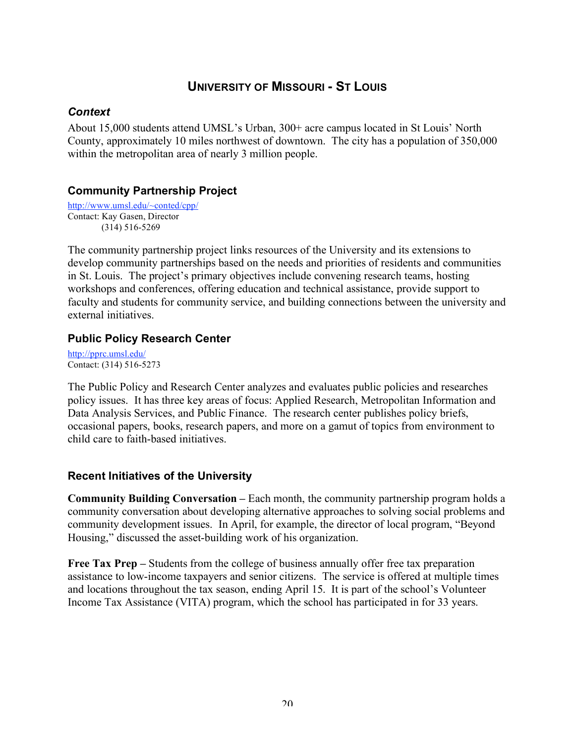# **UNIVERSITY OF MISSOURI - ST LOUIS**

### *Context*

About 15,000 students attend UMSL's Urban, 300+ acre campus located in St Louis' North County, approximately 10 miles northwest of downtown. The city has a population of 350,000 within the metropolitan area of nearly 3 million people.

# **Community Partnership Project**

http://www.umsl.edu/~conted/cpp/ Contact: Kay Gasen, Director (314) 516-5269

The community partnership project links resources of the University and its extensions to develop community partnerships based on the needs and priorities of residents and communities in St. Louis. The project's primary objectives include convening research teams, hosting workshops and conferences, offering education and technical assistance, provide support to faculty and students for community service, and building connections between the university and external initiatives.

### **Public Policy Research Center**

http://pprc.umsl.edu/ Contact: (314) 516-5273

The Public Policy and Research Center analyzes and evaluates public policies and researches policy issues. It has three key areas of focus: Applied Research, Metropolitan Information and Data Analysis Services, and Public Finance. The research center publishes policy briefs, occasional papers, books, research papers, and more on a gamut of topics from environment to child care to faith-based initiatives.

# **Recent Initiatives of the University**

**Community Building Conversation –** Each month, the community partnership program holds a community conversation about developing alternative approaches to solving social problems and community development issues. In April, for example, the director of local program, "Beyond Housing," discussed the asset-building work of his organization.

**Free Tax Prep –** Students from the college of business annually offer free tax preparation assistance to low-income taxpayers and senior citizens. The service is offered at multiple times and locations throughout the tax season, ending April 15. It is part of the school's Volunteer Income Tax Assistance (VITA) program, which the school has participated in for 33 years.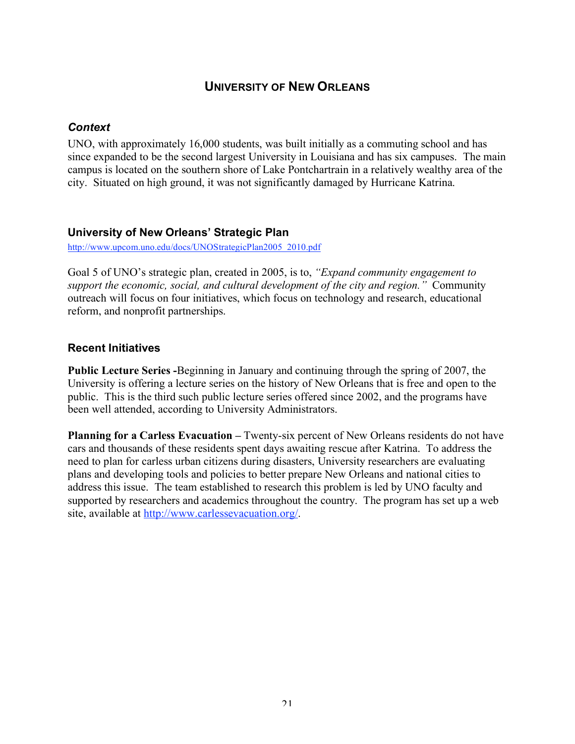# **UNIVERSITY OF NEW ORLEANS**

### *Context*

UNO, with approximately 16,000 students, was built initially as a commuting school and has since expanded to be the second largest University in Louisiana and has six campuses. The main campus is located on the southern shore of Lake Pontchartrain in a relatively wealthy area of the city. Situated on high ground, it was not significantly damaged by Hurricane Katrina.

#### **University of New Orleans' Strategic Plan**

http://www.upcom.uno.edu/docs/UNOStrategicPlan2005\_2010.pdf

Goal 5 of UNO's strategic plan, created in 2005, is to, *"Expand community engagement to support the economic, social, and cultural development of the city and region."* Community outreach will focus on four initiatives, which focus on technology and research, educational reform, and nonprofit partnerships.

### **Recent Initiatives**

**Public Lecture Series -**Beginning in January and continuing through the spring of 2007, the University is offering a lecture series on the history of New Orleans that is free and open to the public. This is the third such public lecture series offered since 2002, and the programs have been well attended, according to University Administrators.

**Planning for a Carless Evacuation –** Twenty-six percent of New Orleans residents do not have cars and thousands of these residents spent days awaiting rescue after Katrina. To address the need to plan for carless urban citizens during disasters, University researchers are evaluating plans and developing tools and policies to better prepare New Orleans and national cities to address this issue. The team established to research this problem is led by UNO faculty and supported by researchers and academics throughout the country. The program has set up a web site, available at http://www.carlessevacuation.org/.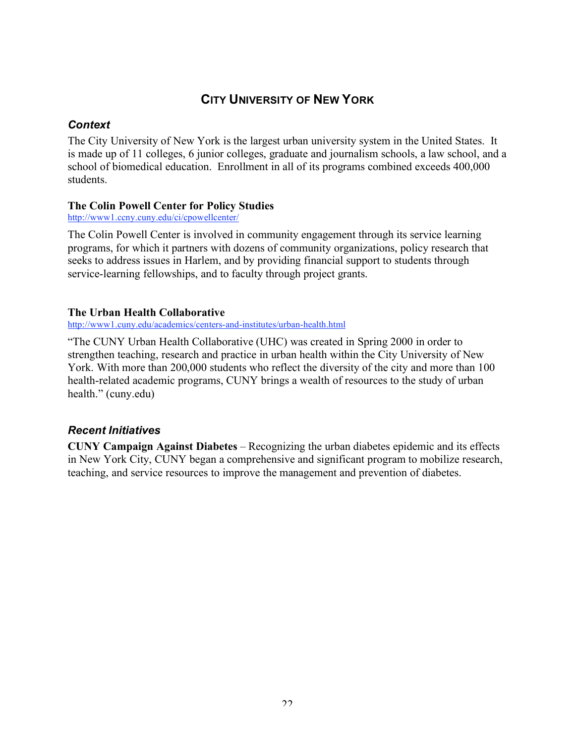# **CITY UNIVERSITY OF NEW YORK**

### *Context*

The City University of New York is the largest urban university system in the United States. It is made up of 11 colleges, 6 junior colleges, graduate and journalism schools, a law school, and a school of biomedical education. Enrollment in all of its programs combined exceeds 400,000 students.

#### **The Colin Powell Center for Policy Studies**

http://www1.ccny.cuny.edu/ci/cpowellcenter/

The Colin Powell Center is involved in community engagement through its service learning programs, for which it partners with dozens of community organizations, policy research that seeks to address issues in Harlem, and by providing financial support to students through service-learning fellowships, and to faculty through project grants.

#### **The Urban Health Collaborative**

http://www1.cuny.edu/academics/centers-and-institutes/urban-health.html

"The CUNY Urban Health Collaborative (UHC) was created in Spring 2000 in order to strengthen teaching, research and practice in urban health within the City University of New York. With more than 200,000 students who reflect the diversity of the city and more than 100 health-related academic programs, CUNY brings a wealth of resources to the study of urban health." (cuny.edu)

# *Recent Initiatives*

**CUNY Campaign Against Diabetes** – Recognizing the urban diabetes epidemic and its effects in New York City, CUNY began a comprehensive and significant program to mobilize research, teaching, and service resources to improve the management and prevention of diabetes.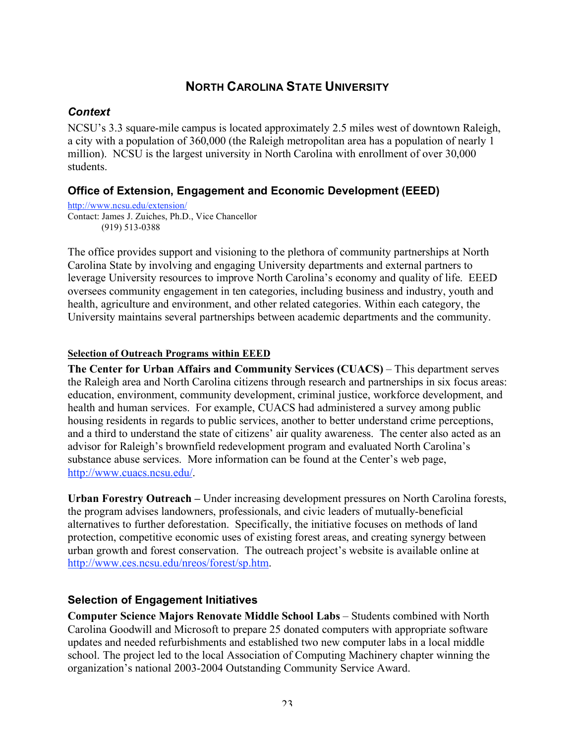# **NORTH CAROLINA STATE UNIVERSITY**

### *Context*

NCSU's 3.3 square-mile campus is located approximately 2.5 miles west of downtown Raleigh, a city with a population of 360,000 (the Raleigh metropolitan area has a population of nearly 1 million). NCSU is the largest university in North Carolina with enrollment of over 30,000 students.

# **Office of Extension, Engagement and Economic Development (EEED)**

#### http://www.ncsu.edu/extension/

Contact: James J. Zuiches, Ph.D., Vice Chancellor (919) 513-0388

The office provides support and visioning to the plethora of community partnerships at North Carolina State by involving and engaging University departments and external partners to leverage University resources to improve North Carolina's economy and quality of life. EEED oversees community engagement in ten categories, including business and industry, youth and health, agriculture and environment, and other related categories. Within each category, the University maintains several partnerships between academic departments and the community.

### **Selection of Outreach Programs within EEED**

**The Center for Urban Affairs and Community Services (CUACS)** – This department serves the Raleigh area and North Carolina citizens through research and partnerships in six focus areas: education, environment, community development, criminal justice, workforce development, and health and human services. For example, CUACS had administered a survey among public housing residents in regards to public services, another to better understand crime perceptions, and a third to understand the state of citizens' air quality awareness. The center also acted as an advisor for Raleigh's brownfield redevelopment program and evaluated North Carolina's substance abuse services. More information can be found at the Center's web page, http://www.cuacs.ncsu.edu/.

**Urban Forestry Outreach –** Under increasing development pressures on North Carolina forests, the program advises landowners, professionals, and civic leaders of mutually-beneficial alternatives to further deforestation. Specifically, the initiative focuses on methods of land protection, competitive economic uses of existing forest areas, and creating synergy between urban growth and forest conservation. The outreach project's website is available online at http://www.ces.ncsu.edu/nreos/forest/sp.htm.

# **Selection of Engagement Initiatives**

**Computer Science Majors Renovate Middle School Labs** – Students combined with North Carolina Goodwill and Microsoft to prepare 25 donated computers with appropriate software updates and needed refurbishments and established two new computer labs in a local middle school. The project led to the local Association of Computing Machinery chapter winning the organization's national 2003-2004 Outstanding Community Service Award.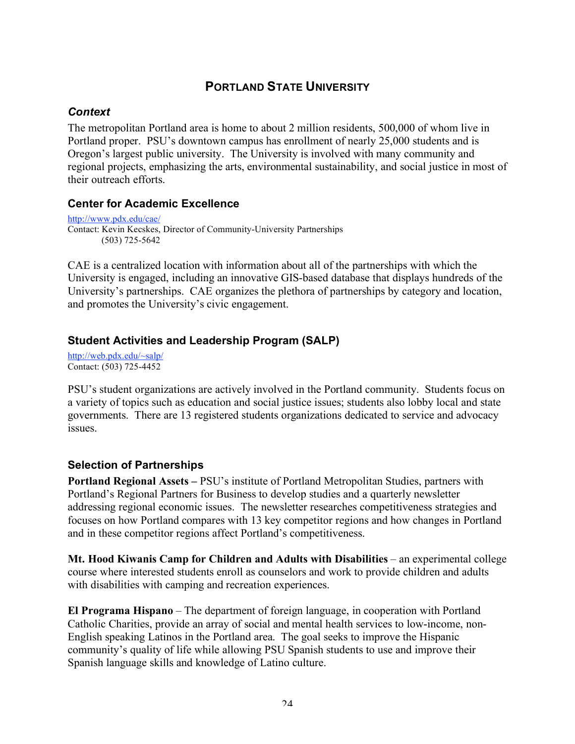# **PORTLAND STATE UNIVERSITY**

### *Context*

The metropolitan Portland area is home to about 2 million residents, 500,000 of whom live in Portland proper. PSU's downtown campus has enrollment of nearly 25,000 students and is Oregon's largest public university. The University is involved with many community and regional projects, emphasizing the arts, environmental sustainability, and social justice in most of their outreach efforts.

### **Center for Academic Excellence**

http://www.pdx.edu/cae/ Contact: Kevin Kecskes, Director of Community-University Partnerships (503) 725-5642

CAE is a centralized location with information about all of the partnerships with which the University is engaged, including an innovative GIS-based database that displays hundreds of the University's partnerships. CAE organizes the plethora of partnerships by category and location, and promotes the University's civic engagement.

# **Student Activities and Leadership Program (SALP)**

http://web.pdx.edu/~salp/ Contact: (503) 725-4452

PSU's student organizations are actively involved in the Portland community. Students focus on a variety of topics such as education and social justice issues; students also lobby local and state governments. There are 13 registered students organizations dedicated to service and advocacy issues.

# **Selection of Partnerships**

**Portland Regional Assets –** PSU's institute of Portland Metropolitan Studies, partners with Portland's Regional Partners for Business to develop studies and a quarterly newsletter addressing regional economic issues. The newsletter researches competitiveness strategies and focuses on how Portland compares with 13 key competitor regions and how changes in Portland and in these competitor regions affect Portland's competitiveness.

**Mt. Hood Kiwanis Camp for Children and Adults with Disabilities** – an experimental college course where interested students enroll as counselors and work to provide children and adults with disabilities with camping and recreation experiences.

**El Programa Hispano** – The department of foreign language, in cooperation with Portland Catholic Charities, provide an array of social and mental health services to low-income, non-English speaking Latinos in the Portland area. The goal seeks to improve the Hispanic community's quality of life while allowing PSU Spanish students to use and improve their Spanish language skills and knowledge of Latino culture.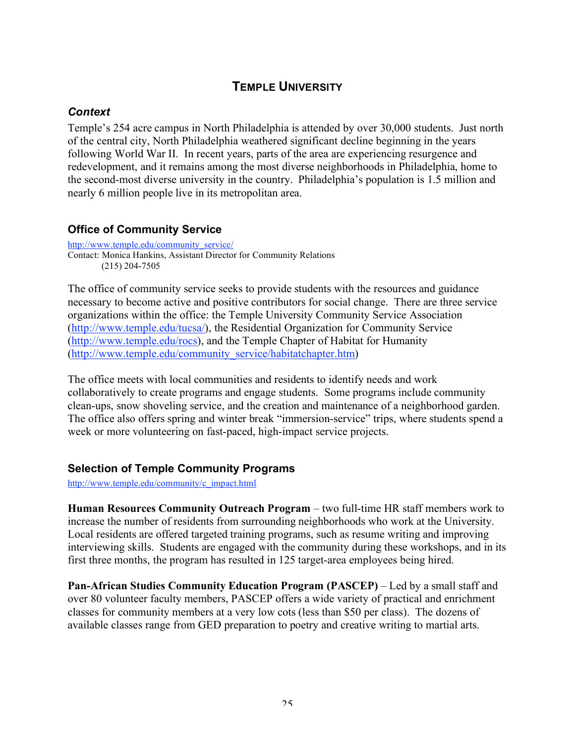# **TEMPLE UNIVERSITY**

# *Context*

Temple's 254 acre campus in North Philadelphia is attended by over 30,000 students. Just north of the central city, North Philadelphia weathered significant decline beginning in the years following World War II. In recent years, parts of the area are experiencing resurgence and redevelopment, and it remains among the most diverse neighborhoods in Philadelphia, home to the second-most diverse university in the country. Philadelphia's population is 1.5 million and nearly 6 million people live in its metropolitan area.

# **Office of Community Service**

http://www.temple.edu/community\_service/ Contact: Monica Hankins, Assistant Director for Community Relations (215) 204-7505

The office of community service seeks to provide students with the resources and guidance necessary to become active and positive contributors for social change. There are three service organizations within the office: the Temple University Community Service Association (http://www.temple.edu/tucsa/), the Residential Organization for Community Service (http://www.temple.edu/rocs), and the Temple Chapter of Habitat for Humanity (http://www.temple.edu/community\_service/habitatchapter.htm)

The office meets with local communities and residents to identify needs and work collaboratively to create programs and engage students. Some programs include community clean-ups, snow shoveling service, and the creation and maintenance of a neighborhood garden. The office also offers spring and winter break "immersion-service" trips, where students spend a week or more volunteering on fast-paced, high-impact service projects.

### **Selection of Temple Community Programs**

http://www.temple.edu/community/c\_impact.html

**Human Resources Community Outreach Program** – two full-time HR staff members work to increase the number of residents from surrounding neighborhoods who work at the University. Local residents are offered targeted training programs, such as resume writing and improving interviewing skills. Students are engaged with the community during these workshops, and in its first three months, the program has resulted in 125 target-area employees being hired.

**Pan-African Studies Community Education Program (PASCEP)** – Led by a small staff and over 80 volunteer faculty members, PASCEP offers a wide variety of practical and enrichment classes for community members at a very low cots (less than \$50 per class). The dozens of available classes range from GED preparation to poetry and creative writing to martial arts.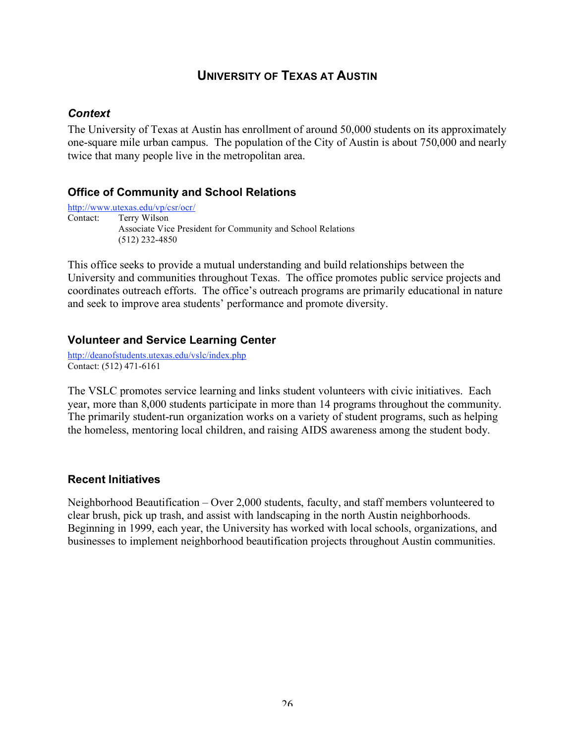# **UNIVERSITY OF TEXAS AT AUSTIN**

### *Context*

The University of Texas at Austin has enrollment of around 50,000 students on its approximately one-square mile urban campus. The population of the City of Austin is about 750,000 and nearly twice that many people live in the metropolitan area.

#### **Office of Community and School Relations**

http://www.utexas.edu/vp/csr/ocr/ Contact: Terry Wilson Associate Vice President for Community and School Relations (512) 232-4850

This office seeks to provide a mutual understanding and build relationships between the University and communities throughout Texas. The office promotes public service projects and coordinates outreach efforts. The office's outreach programs are primarily educational in nature and seek to improve area students' performance and promote diversity.

#### **Volunteer and Service Learning Center**

http://deanofstudents.utexas.edu/vslc/index.php Contact: (512) 471-6161

The VSLC promotes service learning and links student volunteers with civic initiatives. Each year, more than 8,000 students participate in more than 14 programs throughout the community. The primarily student-run organization works on a variety of student programs, such as helping the homeless, mentoring local children, and raising AIDS awareness among the student body.

#### **Recent Initiatives**

Neighborhood Beautification – Over 2,000 students, faculty, and staff members volunteered to clear brush, pick up trash, and assist with landscaping in the north Austin neighborhoods. Beginning in 1999, each year, the University has worked with local schools, organizations, and businesses to implement neighborhood beautification projects throughout Austin communities.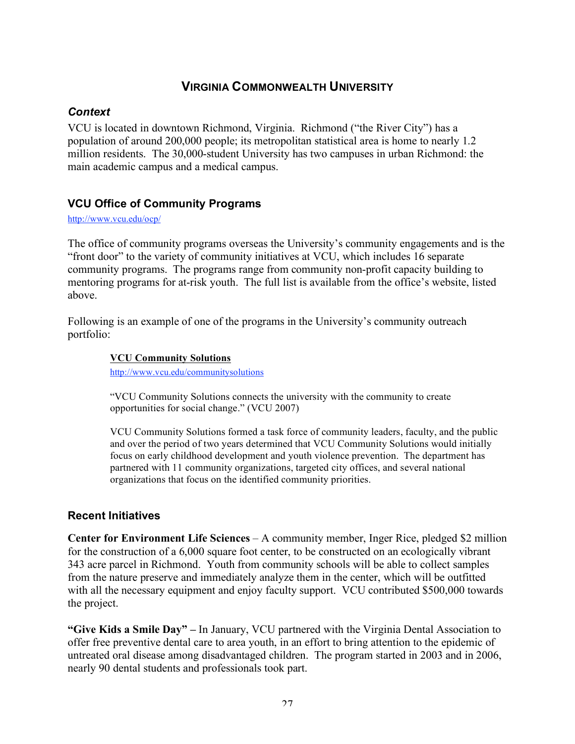# **VIRGINIA COMMONWEALTH UNIVERSITY**

### *Context*

VCU is located in downtown Richmond, Virginia. Richmond ("the River City") has a population of around 200,000 people; its metropolitan statistical area is home to nearly 1.2 million residents. The 30,000-student University has two campuses in urban Richmond: the main academic campus and a medical campus.

# **VCU Office of Community Programs**

http://www.vcu.edu/ocp/

The office of community programs overseas the University's community engagements and is the "front door" to the variety of community initiatives at VCU, which includes 16 separate community programs. The programs range from community non-profit capacity building to mentoring programs for at-risk youth. The full list is available from the office's website, listed above.

Following is an example of one of the programs in the University's community outreach portfolio:

#### **VCU Community Solutions**

http://www.vcu.edu/communitysolutions

"VCU Community Solutions connects the university with the community to create opportunities for social change." (VCU 2007)

VCU Community Solutions formed a task force of community leaders, faculty, and the public and over the period of two years determined that VCU Community Solutions would initially focus on early childhood development and youth violence prevention. The department has partnered with 11 community organizations, targeted city offices, and several national organizations that focus on the identified community priorities.

# **Recent Initiatives**

**Center for Environment Life Sciences** – A community member, Inger Rice, pledged \$2 million for the construction of a 6,000 square foot center, to be constructed on an ecologically vibrant 343 acre parcel in Richmond. Youth from community schools will be able to collect samples from the nature preserve and immediately analyze them in the center, which will be outfitted with all the necessary equipment and enjoy faculty support. VCU contributed \$500,000 towards the project.

**"Give Kids a Smile Day" –** In January, VCU partnered with the Virginia Dental Association to offer free preventive dental care to area youth, in an effort to bring attention to the epidemic of untreated oral disease among disadvantaged children. The program started in 2003 and in 2006, nearly 90 dental students and professionals took part.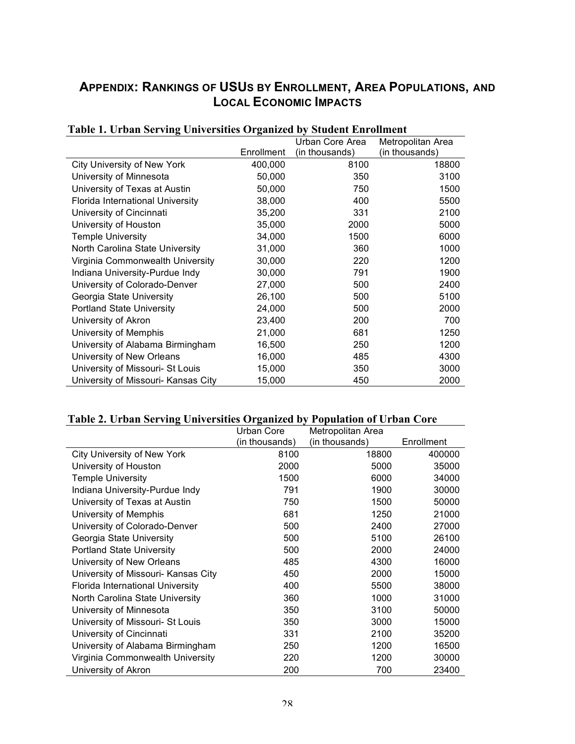# **APPENDIX: RANKINGS OF USUS BY ENROLLMENT, AREA POPULATIONS, AND LOCAL ECONOMIC IMPACTS**

| r apič 1. četovni bol 1.11. červi blitos Organizov by |            | <b>Dragont</b> Emplement<br>Urban Core Area | Metropolitan Area |
|-------------------------------------------------------|------------|---------------------------------------------|-------------------|
|                                                       | Enrollment | (in thousands)                              | (in thousands)    |
| <b>City University of New York</b>                    | 400,000    | 8100                                        | 18800             |
| University of Minnesota                               | 50,000     | 350                                         | 3100              |
| University of Texas at Austin                         | 50,000     | 750                                         | 1500              |
| Florida International University                      | 38,000     | 400                                         | 5500              |
| University of Cincinnati                              | 35,200     | 331                                         | 2100              |
| University of Houston                                 | 35,000     | 2000                                        | 5000              |
| <b>Temple University</b>                              | 34,000     | 1500                                        | 6000              |
| North Carolina State University                       | 31,000     | 360                                         | 1000              |
| Virginia Commonwealth University                      | 30,000     | 220                                         | 1200              |
| Indiana University-Purdue Indy                        | 30,000     | 791                                         | 1900              |
| University of Colorado-Denver                         | 27,000     | 500                                         | 2400              |
| Georgia State University                              | 26,100     | 500                                         | 5100              |
| <b>Portland State University</b>                      | 24,000     | 500                                         | 2000              |
| University of Akron                                   | 23,400     | 200                                         | 700               |
| University of Memphis                                 | 21,000     | 681                                         | 1250              |
| University of Alabama Birmingham                      | 16,500     | 250                                         | 1200              |
| University of New Orleans                             | 16,000     | 485                                         | 4300              |
| University of Missouri- St Louis                      | 15,000     | 350                                         | 3000              |
| University of Missouri- Kansas City                   | 15,000     | 450                                         | 2000              |

### **Table 1. Urban Serving Universities Organized by Student Enrollment**

### **Table 2. Urban Serving Universities Organized by Population of Urban Core**

|                                     | Urban Core     | Metropolitan Area |            |
|-------------------------------------|----------------|-------------------|------------|
|                                     | (in thousands) | (in thousands)    | Enrollment |
| <b>City University of New York</b>  | 8100           | 18800             | 400000     |
| University of Houston               | 2000           | 5000              | 35000      |
| <b>Temple University</b>            | 1500           | 6000              | 34000      |
| Indiana University-Purdue Indy      | 791            | 1900              | 30000      |
| University of Texas at Austin       | 750            | 1500              | 50000      |
| University of Memphis               | 681            | 1250              | 21000      |
| University of Colorado-Denver       | 500            | 2400              | 27000      |
| Georgia State University            | 500            | 5100              | 26100      |
| <b>Portland State University</b>    | 500            | 2000              | 24000      |
| University of New Orleans           | 485            | 4300              | 16000      |
| University of Missouri- Kansas City | 450            | 2000              | 15000      |
| Florida International University    | 400            | 5500              | 38000      |
| North Carolina State University     | 360            | 1000              | 31000      |
| University of Minnesota             | 350            | 3100              | 50000      |
| University of Missouri- St Louis    | 350            | 3000              | 15000      |
| University of Cincinnati            | 331            | 2100              | 35200      |
| University of Alabama Birmingham    | 250            | 1200              | 16500      |
| Virginia Commonwealth University    | 220            | 1200              | 30000      |
| University of Akron                 | 200            | 700               | 23400      |